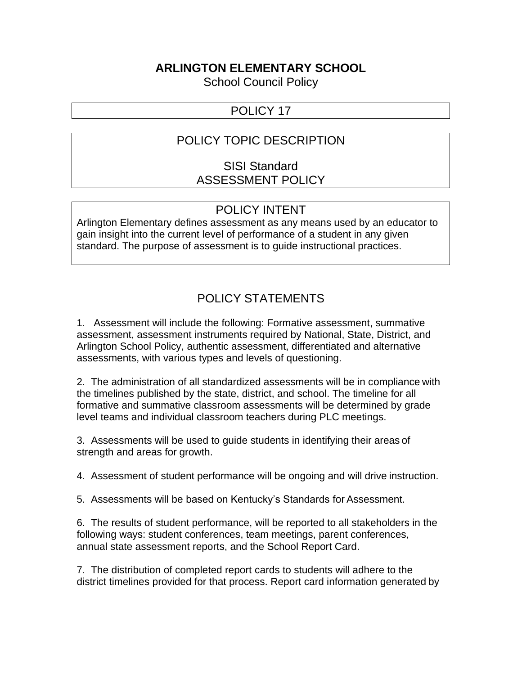#### **ARLINGTON ELEMENTARY SCHOOL**

School Council Policy

### POLICY 17

## POLICY TOPIC DESCRIPTION

### SISI Standard ASSESSMENT POLICY

#### POLICY INTENT

Arlington Elementary defines assessment as any means used by an educator to gain insight into the current level of performance of a student in any given standard. The purpose of assessment is to guide instructional practices.

# POLICY STATEMENTS

1. Assessment will include the following: Formative assessment, summative assessment, assessment instruments required by National, State, District, and Arlington School Policy, authentic assessment, differentiated and alternative assessments, with various types and levels of questioning.

2. The administration of all standardized assessments will be in compliance with the timelines published by the state, district, and school. The timeline for all formative and summative classroom assessments will be determined by grade level teams and individual classroom teachers during PLC meetings.

3. Assessments will be used to guide students in identifying their areas of strength and areas for growth.

4. Assessment of student performance will be ongoing and will drive instruction.

5. Assessments will be based on Kentucky's Standards for Assessment.

6. The results of student performance, will be reported to all stakeholders in the following ways: student conferences, team meetings, parent conferences, annual state assessment reports, and the School Report Card.

7. The distribution of completed report cards to students will adhere to the district timelines provided for that process. Report card information generated by